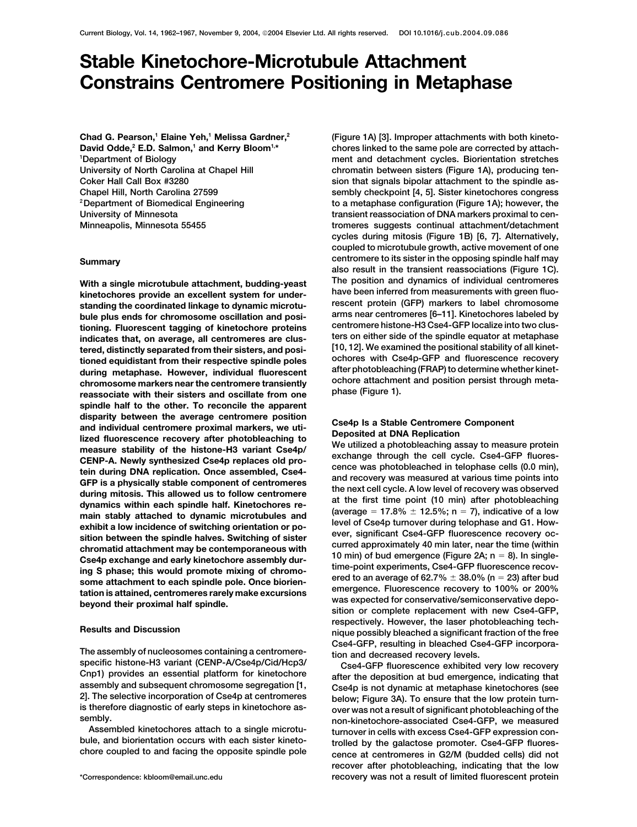# **Stable Kinetochore-Microtubule Attachment Constrains Centromere Positioning in Metaphase**

**Chad G. Pearson,1 Elaine Yeh,1 Melissa Gardner,2** David Odde,<sup>2</sup> E.D. Salmon,<sup>1</sup> and Kerry Bloom<sup>1,\*</sup> **1 Department of Biology**

kinetochores provide an excellent system for under-<br>standing the coordinated linkage to dynamic microtu-<br>bule plus ends for chromosome oscillation and posi-<br>tioning. Fluorescent tagging of kinetochore proteins<br>indicates th **spindle half to the other. To reconcile the apparent** disparity between the average centromere position<br>and individual centromere proximal markers, we uti-<br>lized fluorescence recovery after photobleaching to<br>measure stability of the histone-H3 variant Cse4p/<br>CENP-A. Newly sy spin stably attached to dynamic microtubules and<br>exhibit a low incidence of switching orientation or po-<br>exition between the spindle halves. Switching of sister<br>chromatid attachment may be contemporaneous with<br>Cse4p excha

The assembly of nucleosomes containing a centromere-<br>specific histone-H3 variant (CENP-A/Cse4p/Cid/Hcp3/<br>Cnp1) provides an essential platform for kinetochore<br>assembly and subsequent chromosome segregation [1,<br>2]. The selec

**(Figure 1A) [3]. Improper attachments with both kinetochores linked to the same pole are corrected by attachment and detachment cycles. Biorientation stretches** University of North Carolina at Chapel Hill **chromatin between sisters (Figure 1A)**, producing ten-**Coker Hall Call Box #3280 sion that signals bipolar attachment to the spindle as-Chapel Hill, North Carolina 27599 sembly checkpoint [4, 5]. Sister kinetochores congress to a metaphase configuration (Figure 1A); however, the 2Department of Biomedical Engineering** University of Minnesota **transient reassociation of DNA markers proximal to cen-Minneapolis, Minnesota 55455 tromeres suggests continual attachment/detachment cycles during mitosis (Figure 1B) [6, 7]. Alternatively, coupled to microtubule growth, active movement of one centromere to its sister in the opposing spindle half may Summary also result in the transient reassociations (Figure 1C). With a single microtubule attachment, budding-yeast The position and dynamics of individual centromeres**

ing S phase; this would promote mixing of chromo-<br>some attachment to each spindle pole. Once biorien-<br>tation is attained, centromeres rarely make excursions<br>beyond their proximal half spindle.<br>beyond their proximal half s **respectively. However, the laser photobleaching tech- Results and Discussion nique possibly bleached a significant fraction of the free**

sembly.<br>
Assembled kinetochores attach to a single microtu-<br>
bule, and biorientation occurs with each sister kineto-<br>
chore coupled to and facing the opposite spindle pole<br>
chore coupled to and facing the opposite spindle **recover after photobleaching, indicating that the low \*Correspondence: kbloom@email.unc.edu recovery was not a result of limited fluorescent protein**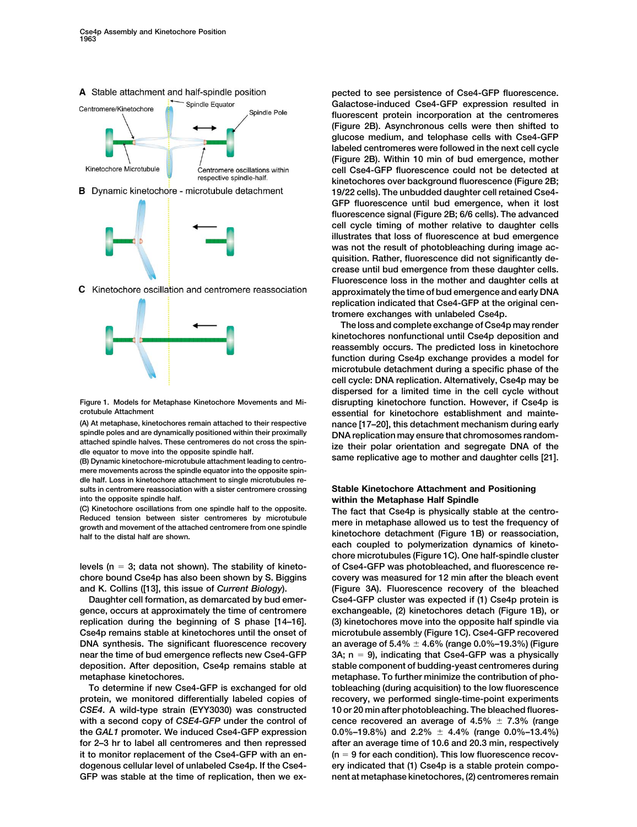



C Kinetochore oscillation and centromere reassociation



**mere movements across the spindle equator into the opposite spindle half. Loss in kinetochore attachment to single microtubules results in centromere reassociation with a sister centromere crossing Stable Kinetochore Attachment and Positioning into the opposite spindle half. within the Metaphase Half Spindle**

**gence, occurs at approximately the time of centromere exchangeable, (2) kinetochores detach (Figure 1B), or replication during the beginning of S phase [14–16]. (3) kinetochores move into the opposite half spindle via Cse4p remains stable at kinetochores until the onset of microtubule assembly (Figure 1C). Cse4-GFP recovered DNA synthesis. The significant fluorescence recovery near the time of bud emergence reflects new Cse4-GFP 3A; n 9), indicating that Cse4-GFP was a physically deposition. After deposition, Cse4p remains stable at stable component of budding-yeast centromeres during**

**protein, we monitored differentially labeled copies of recovery, we performed single-time-point experiments** *CSE4***. A wild-type strain (EYY3030) was constructed 10 or 20 min after photobleaching. The bleached fluores**with a second copy of *CSE4-GFP* under the control of **the GAL1** promoter. We induced Cse4-GFP expression **for 2–3 hr to label all centromeres and then repressed after an average time of 10.6 and 20.3 min, respectively it to monitor replacement of the Cse4-GFP with an en- (n 9 for each condition). This low fluorescence recovdogenous cellular level of unlabeled Cse4p. If the Cse4- ery indicated that (1) Cse4p is a stable protein compo-GFP was stable at the time of replication, then we ex- nent at metaphase kinetochores, (2) centromeres remain**

**pected to see persistence of Cse4-GFP fluorescence. Galactose-induced Cse4-GFP expression resulted in fluorescent protein incorporation at the centromeres (Figure 2B). Asynchronous cells were then shifted to glucose medium, and telophase cells with Cse4-GFP labeled centromeres were followed in the next cell cycle (Figure 2B). Within 10 min of bud emergence, mother cell Cse4-GFP fluorescence could not be detected at kinetochores over background fluorescence (Figure 2B; 19/22 cells). The unbudded daughter cell retained Cse4- GFP fluorescence until bud emergence, when it lost fluorescence signal (Figure 2B; 6/6 cells). The advanced cell cycle timing of mother relative to daughter cells illustrates that loss of fluorescence at bud emergence was not the result of photobleaching during image acquisition. Rather, fluorescence did not significantly decrease until bud emergence from these daughter cells. Fluorescence loss in the mother and daughter cells at approximately the time of bud emergence and early DNA replication indicated that Cse4-GFP at the original centromere exchanges with unlabeled Cse4p.**

**The loss and complete exchange of Cse4p may render kinetochores nonfunctional until Cse4p deposition and reassembly occurs. The predicted loss in kinetochore function during Cse4p exchange provides a model for microtubule detachment during a specific phase of the cell cycle: DNA replication. Alternatively, Cse4p may be dispersed for a limited time in the cell cycle without Figure 1. Models for Metaphase Kinetochore Movements and Mi- disrupting kinetochore function. However, if Cse4p is crotubule Attachment essential for kinetochore establishment and mainte- (A) At metaphase, kinetochores remain attached to their respective nance [17–20], this detachment mechanism during early** spindle poles and are dynamically positioned within their proximally<br>attached spindle halves. These centromeres do not cross the spin-<br>dle equator to move into the opposite spindle halves. These centromeres do not cross th

(C) Kinetochore oscillations from one spindle half to the opposite.<br>
Reduced tension between sister centromeres by microtubule<br>
The fact that Cse4p is physically stable at the centro-<br>
growth and movement of the distal hal **each coupled to polymerization dynamics of kinetochore microtubules (Figure 1C). One half-spindle cluster levels (n 3; data not shown). The stability of kineto- of Cse4-GFP was photobleached, and fluorescence rechore bound Cse4p has also been shown by S. Biggins covery was measured for 12 min after the bleach event and K. Collins ([13], this issue of** *Current Biology***). (Figure 3A). Fluorescence recovery of the bleached Daughter cell formation, as demarcated by bud emer- Cse4-GFP cluster was expected if (1) Cse4p protein is 4.6% (range 0.0%–19.3%) (Figure metaphase kinetochores. metaphase. To further minimize the contribution of pho-To determine if new Cse4-GFP is exchanged for old tobleaching (during acquisition) to the low fluorescence** cence recovered an average of  $4.5\% \pm 7.3\%$  (range **4.4% (range 0.0%–13.4%)**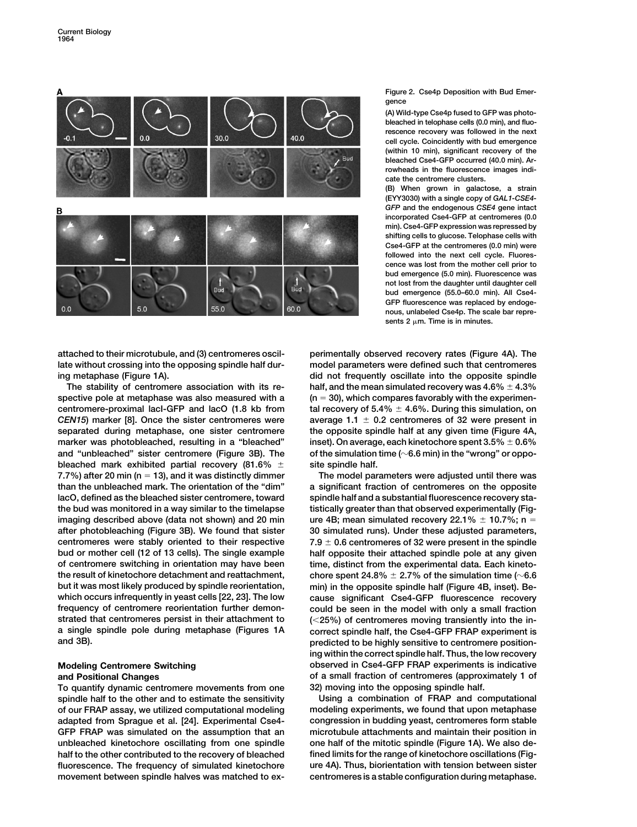

**Figure 2. Cse4p Deposition with Bud Emergence**

**(A) Wild-type Cse4p fused to GFP was photobleached in telophase cells (0.0 min), and fluorescence recovery was followed in the next cell cycle. Coincidently with bud emergence (within 10 min), significant recovery of the bleached Cse4-GFP occurred (40.0 min). Arrowheads in the fluorescence images indicate the centromere clusters.**

**(B) When grown in galactose, a strain (EYY3030) with a single copy of** *GAL1-CSE4- GFP* **and the endogenous** *CSE4* **gene intact incorporated Cse4-GFP at centromeres (0.0 min). Cse4-GFP expression was repressed by shifting cells to glucose. Telophase cells with Cse4-GFP at the centromeres (0.0 min) were followed into the next cell cycle. Fluorescence was lost from the mother cell prior to bud emergence (5.0 min). Fluorescence was not lost from the daughter until daughter cell bud emergence (55.0–60.0 min). All Cse4- GFP fluorescence was replaced by endogenous, unlabeled Cse4p. The scale bar repre**sents  $2 \mu m$ . Time is in minutes.

**attached to their microtubule, and (3) centromeres oscil- perimentally observed recovery rates (Figure 4A). The late without crossing into the opposing spindle half dur- model parameters were defined such that centromeres**

The stability of centromere association with its respective pole at metaphase was also measured with a  $(n = 30)$ , which compares favorably with the experimencentromere-proximal lacI-GFP and lacO (1.8 kb from *CEN15*) marker [8]. Once the sister centromeres were **separated during metaphase, one sister centromere the opposite spindle half at any given time (Figure 4A,** marker was photobleached, resulting in a "bleached" **and "unbleached" sister centromere (Figure 3B). The of the simulation time (6.6 min) in the "wrong" or oppo**bleached mark exhibited partial recovery (81.6%  $\pm$ **7.7%) after 20 min (n 13), and it was distinctly dimmer The model parameters were adjusted until there was than the unbleached mark. The orientation of the "dim" a significant fraction of centromeres on the opposite lacO, defined as the bleached sister centromere, toward spindle half and a substantial fluorescence recovery stathe bud was monitored in a way similar to the timelapse tistically greater than that observed experimentally (Figimaging described above (data not shown) and 20 min after photobleaching (Figure 3B). We found that sister 30 simulated runs). Under these adjusted parameters, centromeres were stably oriented to their respective 7.9 bud or mother cell (12 of 13 cells). The single example half opposite their attached spindle pole at any given of centromere switching in orientation may have been time, distinct from the experimental data. Each kinetothe result of kinetochore detachment and reattachment, but it was most likely produced by spindle reorientation, min) in the opposite spindle half (Figure 4B, inset). Bewhich occurs infrequently in yeast cells [22, 23]. The low cause significant Cse4-GFP fluorescence recovery frequency of centromere reorientation further demon- could be seen in the model with only a small fraction strated that centromeres persist in their attachment to (25%) of centromeres moving transiently into the ina single spindle pole during metaphase (Figures 1A correct spindle half, the Cse4-GFP FRAP experiment is and 3B). predicted to be highly sensitive to centromere position-**

**To quantify dynamic centromere movements from one 32) moving into the opposing spindle half. spindle half to the other and to estimate the sensitivity Using a combination of FRAP and computational of our FRAP assay, we utilized computational modeling modeling experiments, we found that upon metaphase adapted from Sprague et al. [24]. Experimental Cse4- congression in budding yeast, centromeres form stable GFP FRAP was simulated on the assumption that an microtubule attachments and maintain their position in unbleached kinetochore oscillating from one spindle one half of the mitotic spindle (Figure 1A). We also dehalf to the other contributed to the recovery of bleached fined limits for the range of kinetochore oscillations (Figfluorescence. The frequency of simulated kinetochore ure 4A). Thus, biorientation with tension between sister movement between spindle halves was matched to ex- centromeres is a stable configuration during metaphase.**

**ing metaphase (Figure 1A). did not frequently oscillate into the opposite spindle** half, and the mean simulated recovery was 4.6%  $\pm$  4.3% tal recovery of  $5.4\% \pm 4.6\%$ . During this simulation, on average  $1.1 \pm 0.2$  centromeres of 32 were present in inset). On average, each kinetochore spent  $3.5\% \pm 0.6\%$ **site spindle half.**

ure 4B; mean simulated recovery  $22.1\% \pm 10.7\%$ ; n = **0.6 centromeres of 32 were present in the spindle** chore spent 24.8%  $\pm$  2.7% of the simulation time ( $\sim$ 6.6 **ing within the correct spindle half. Thus, the low recovery Modeling Centromere Switching observed in Cse4-GFP FRAP experiments is indicative and Positional Changes of a small fraction of centromeres (approximately 1 of**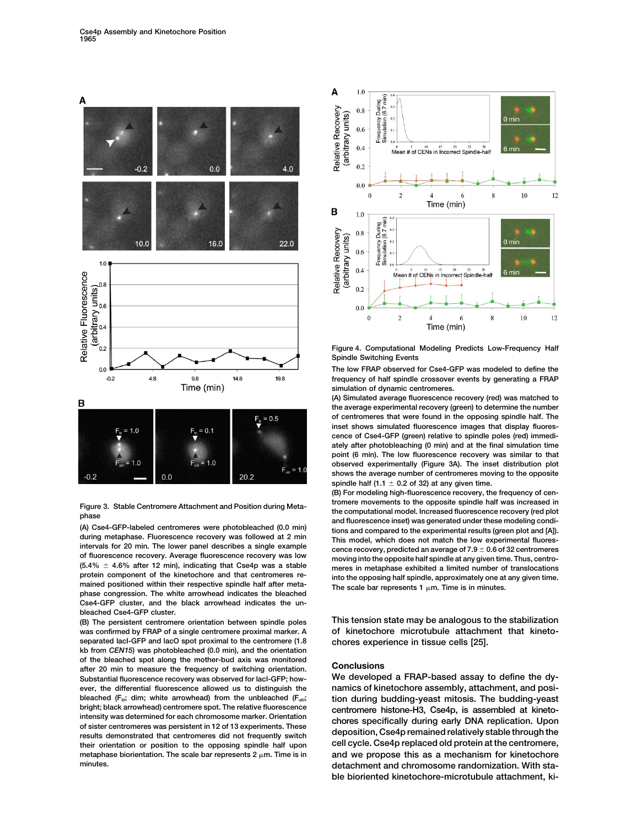

of fluorescence recovery. Average fluorescence recovery was low<br>  $(5.4\% \pm 4.6\%$  after 12 min), indicating that Cse4p was a stable<br>
meres in metaphase exhibited a limited number of translocations protein component of the kinetochore and that centromeres re-<br>mained positioned within their respective spindle half after meta-<br>The scale bar represents 1  $\mu$ m. Time is in minutes. **phase congression. The white arrowhead indicates the bleached Cse4-GFP cluster, and the black arrowhead indicates the unbleached Cse4-GFP cluster.**

**was confirmed by FRAP of a single centromere proximal marker. A of kinetochore microtubule attachment that kinetoseparated lacI-GFP and lacO spot proximal to the centromere (1.8 chores experience in tissue cells [25]. kb from** *CEN15***) was photobleached (0.0 min), and the orientation of the bleached spot along the mother-bud axis was monitored Conclusions after 20 min to measure the frequency of switching orientation. Substantial fluorescence recovery was observed for lacI-GFP; how- We developed a FRAP-based assay to define the dyever, the differential fluorescence allowed us to distinguish the namics of kinetochore assembly, attachment, and posi**bleached (F<sub>bi</sub>; dim; white arrowhead) from the unbleached (F<sub>ubi</sub>, tion during budding-yeast mitosis. The budding-yeast<br>bright; black arrowhead) centromere spot. The relative fluorescence contromere histone-H3 Cse4n is as bright; black arrowhead) centromere spot. The relative fluorescence<br>intensity was determined for each chromosome marker. Orientation<br>of sister centromeres was persistent in 12 of 13 experiments. These<br>results demonstrated **cell cycle. Cse4p replaced old protein at the centromere, their orientation or position to the opposing spindle half upon metaphase biorientation. The scale bar represents 2 m. Time is in and we propose this as a mechanism for kinetochore**



**Figure 4. Computational Modeling Predicts Low-Frequency Half Spindle Switching Events**

**The low FRAP observed for Cse4-GFP was modeled to define the frequency of half spindle crossover events by generating a FRAP simulation of dynamic centromeres.**

**(A) Simulated average fluorescence recovery (red) was matched to the average experimental recovery (green) to determine the number of centromeres that were found in the opposing spindle half. The inset shows simulated fluorescence images that display fluorescence of Cse4-GFP (green) relative to spindle poles (red) immediately after photobleaching (0 min) and at the final simulation time point (6 min). The low fluorescence recovery was similar to that observed experimentally (Figure 3A). The inset distribution plot shows the average number of centromeres moving to the opposite** spindle half (1.1  $\pm$  0.2 of 32) at any given time.

**(B) For modeling high-fluorescence recovery, the frequency of cen-**Figure 3. Stable Centromere Attachment and Position during Meta-<br>phase the computational model. Increased fluorescence recovery (red plot<br>(A) Cse4-GFP-labeled centromeres were photobleached (0.0 min)<br>during metaphase. Flu cence recovery, predicted an average of 7.9  $\pm$  0.6 of 32 centromeres

**(B) The persistent centromere orientation between spindle poles This tension state may be analogous to the stabilization**

**minutes. detachment and chromosome randomization. With stable bioriented kinetochore-microtubule attachment, ki-**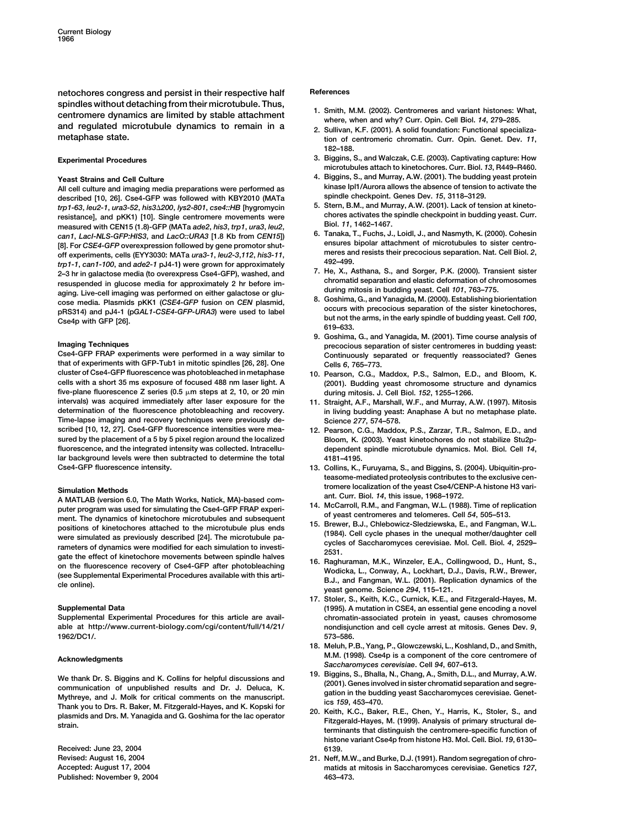**netochores congress and persist in their respective half References** spindles without detaching from their microtubule. Thus,<br>centromere dynamics are limited by stable attachment<br>and regulated microtubule dynamics to remain in a<br>metaphase state.<br>metaphase state. The state of centromeric chr

All cell culture and imaging media preparations were performed as *kinase Ipl1/Aurora allows the absence of tension*<br>All cell culture and the absence of tension to activate the absence the absence the absence the absence described [10, 26]. Cse4-GFP was followed with KBY2010 (MATa spindle checkpoint. Genes Dev. 15, 3118–3129.<br>
trp1-63, leu2-1, ura3-52, his3∆200, lys2-801, cse4::HB [hygromycin 5. Stern, B.M., and Murray, A.W. (2001). Lack o trp1-63, leu2-1, ura3-52, his3∆200, lys2-801, cse4::HB [hygromycin b. Stern, B.M., and Murray, A.W. (2001). Lack of tension at kineto-<br>chores activates the spindle checkpoint in budding yeast. Curr, contromere movements we **chores activates the spinolist in budding in the spinolist in the spinolist in the spinolist in the spinolist in the spinolist in the spinolist in the spinolist in the spinolist in the spinolist in the spinolist in the sp** measured with CEN15 (1.8)-GFP (MATa ade2, his3, trp1, ura3, leu2,<br>can1, Lacl-NLS-GFP:HIS3, and LacO::URA3 [1.8 Kb from CEN15]) 6. Tanaka, T., Fuchs, J., Loidl, J., and Nasmyth, K. (2000). Cohesin<br>[3] Ear CSE4 CER overays p [8]. For CSE4-GFP overexpression followed by gene promotor shut-<br>off experiments, cells (EYY3030: MATa *ura3-1*, *leu2-3,112, his3-11*,<br>
the 1-1, can1-100, and ade2-1 pJ4-1) were grown for approximately<br>
the 3-499. The me

that of experiments with GFP-Tub1 in mitotic spindles [26, 28]. One Cells 6, 765–773.<br>
cluster of Cse4-GFP fluorescence was photobleached in metaphase 10. Pearson, C.G., N **cells with a short 35 ms exposure of focused 488 nm laser light. A (2001). Budding yeast chromosome structure and dynamics** five-plane fluorescence Z series (0.5  $\mu$ m steps at 2, 10, or 20 min<br>intervals) was acquired immediately after laser exposure for the 11. Straight, A.F., Marshall, W.F., and Murray, A **determination of the fluorescence photobleaching and recovery. in living budding yeast: Anaphase A but no metaphase plate. Time-lapse imaging and recovery techniques were previously de- Science** *277***, 574–578. sured by the placement of a 5 by 5 pixel region around the localized Bloom, K. (2003). Yeast kinetochores do not stabilize Stu2pfluorescence, and the integrated intensity was collected. Intracellu- dependent spindle microtubule dynamics. Mol. Biol. Cell** *14***, lar background levels were then subtracted to determine the total 4181–4195. Cse4-GFP fluorescence intensity. 13. Collins, K., Furuyama, S., and Biggins, S. (2004). Ubiquitin-pro-**

A MATLAB (version 6.0, The Math Works, Natick, MA)-based com-<br>
puter program was used for simulating the Cse4-GFP FRAP experi-<br>
ment. The dynamics of kinetochore microtubules and subsequent<br>
ment. The dynamics of kinetocho

**1962/DC1/. 573–586.**

We thank Dr. S. Biggins and K. Collins for helpful discussions and<br>
communication of unpublished results and Dr. J. Deluca, K. (2001). Genes involved in sister chromatid separation and segre-<br>
Mythreye, and J. Molk for cri

**Received: June 23, 2004 6139. Published: November 9, 2004 463–473.**

- 
- **metaphase state. tion of centromeric chromatin. Curr. Opin. Genet. Dev.** *11***, 182–188.**
- **Experimental Procedures 3. Biggins, S., and Walczak, C.E. (2003). Captivating capture: How microtubules attach to kinetochores. Curr. Biol.** *13***, R449–R460.**
- **Yeast Strains and Cell Culture 4. Biggins, S., and Murray, A.W. (2001). The budding yeast protein**
	-
	-
	-
	-
- **9. Goshima, G., and Yanagida, M. (2001). Time course analysis of Imaging Techniques precocious separation of sister centromeres in budding yeast:** Continuously separated or frequently reassociated? Genes
	- 10. Pearson, C.G., Maddox, P.S., Salmon, E.D., and Bloom, K.
	- **intervals) was acquired immediately after laser exposure for the 11. Straight, A.F., Marshall, W.F., and Murray, A.W. (1997). Mitosis**
	- 12. Pearson, C.G., Maddox, P.S., Zarzar, T.R., Salmon, E.D., and
- **teasome-mediated proteolysis contributes to the exclusive censimulation Methods**<br>A MATLAB (version 6.0, The Math Werks, Natiok, MA) based com ant. Curr. Biol. 14, this issue, 1968–1972.
	-
	-
	-
- **17. Stoler, S., Keith, K.C., Curnick, K.E., and Fitzgerald-Hayes, M. Supplemental Data (1995). A mutation in CSE4, an essential gene encoding a novel Supplemental Experimental Procedures for this article are avail- chromatin-associated protein in yeast, causes chromosome able at http://www.current-biology.com/cgi/content/full/14/21/ nondisjunction and cell cycle arrest at mitosis. Genes Dev.** *9***,**
- **18. Meluh, P.B., Yang, P., Glowczewski, L., Koshland, D., and Smith, M.M. (1998). Cse4p is a component of the core centromere of Acknowledgments** *Saccharomyces cerevisiae***. Cell** *<sup>94</sup>***, 607–613.**
	-
	- **histone variant Cse4p from histone H3. Mol. Cell. Biol.** *19***, 6130–**
- **Revised: August 16, 2004 21. Neff, M.W., and Burke, D.J. (1991). Random segregation of chro-Accepted: August 17, 2004 matids at mitosis in Saccharomyces cerevisiae. Genetics** *127***,**